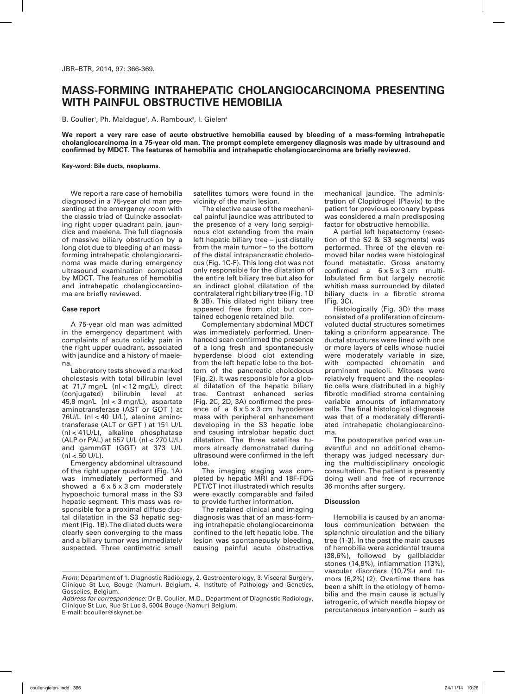## **Mass-forming Intrahepatic Cholangiocarcinoma Presenting with Painful Obstructive Hemobilia**

B. Coulier<sup>1</sup>, Ph. Maldague<sup>2</sup>, A. Ramboux<sup>3</sup>, I. Gielen<sup>4</sup>

**We report a very rare case of acute obstructive hemobilia caused by bleeding of a mass-forming intrahepatic cholangiocarcinoma in a 75-year old man. The prompt complete emergency diagnosis was made by ultrasound and confirmed by MDCT. The features of hemobilia and intrahepatic cholangiocarcinoma are briefly reviewed.** 

**Key-word: Bile ducts, neoplasms.**

We report a rare case of hemobilia diagnosed in a 75-year old man presenting at the emergency room with the classic triad of Quincke associating right upper quadrant pain, jaundice and maelena. The full diagnosis of massive biliary obstruction by a long clot due to bleeding of an massforming intrahepatic cholangiocarcinoma was made during emergency ultrasound examination completed by MDCT. The features of hemobilia and intrahepatic cholangiocarcinoma are briefly reviewed.

## **Case report**

A 75-year old man was admitted in the emergency department with complaints of acute colicky pain in the right upper quadrant, associated with jaundice and a history of maelena.

Laboratory tests showed a marked cholestasis with total bilirubin level at 71,7 mgr/L (nl < 12 mg/L), direct (conjugated) bilirubin level at 45,8 mgr/L (nl < 3 mgr/L), aspartate aminotransferase (AST or GOT ) at 76U/L (nl < 40 U/L), alanine aminotransferase (ALT or GPT ) at 151 U/L (nl < 41U/L), alkaline phosphatase (ALP or PAL) at 557 U/L (nl < 270 U/L) and gammGT (GGT) at 373 U/L  $(nl < 50 U/L)$ .

Emergency abdominal ultrasound of the right upper quadrant (Fig. 1A) was immediately performed and showed a 6 x 5 x 3 cm moderately hypoechoic tumoral mass in the S3 hepatic segment. This mass was responsible for a proximal diffuse ductal dilatation in the S3 hepatic segment (Fig. 1B).The dilated ducts were clearly seen converging to the mass and a biliary tumor was immediately suspected. Three centimetric small satellites tumors were found in the vicinity of the main lesion.

The elective cause of the mechanical painful jaundice was attributed to the presence of a very long serpiginous clot extending from the main left hepatic biliary tree – just distally from the main tumor – to the bottom of the distal intrapancreatic choledocus (Fig. 1C-F). This long clot was not only responsible for the dilatation of the entire left biliary tree but also for an indirect global dilatation of the contralateral right biliary tree (Fig. 1D & 3B). This dilated right biliary tree appeared free from clot but contained echogenic retained bile.

Complementary abdominal MDCT was immediately performed. Unenhanced scan confirmed the presence of a long fresh and spontaneously hyperdense blood clot extending from the left hepatic lobe to the bottom of the pancreatic choledocus (Fig. 2). It was responsible for a global dilatation of the hepatic biliary tree. Contrast enhanced series (Fig. 2C, 2D, 3A) confirmed the presence of a 6 x 5 x 3 cm hypodense mass with peripheral enhancement developing in the S3 hepatic lobe and causing intralobar hepatic duct dilatation. The three satellites tumors already demonstrated during ultrasound were confirmed in the left lobe.

The imaging staging was completed by hepatic MRI and 18F-FDG PET/CT (not illustrated) which results were exactly comparable and failed to provide further information.

The retained clinical and imaging diagnosis was that of an mass-forming intrahepatic cholangiocarcinoma confined to the left hepatic lobe. The lesion was spontaneously bleeding, causing painful acute obstructive

mechanical jaundice. The administration of Clopidrogel (Plavix) to the patient for previous coronary bypass was considered a main predisposing factor for obstructive hemobilia.

A partial left hepatectomy (resection of the S2 & S3 segments) was performed. Three of the eleven removed hilar nodes were histological found metastatic. Gross anatomy confirmed a  $6 \times 5 \times 3$  cm multilobulated firm but largely necrotic whitish mass surrounded by dilated biliary ducts in a fibrotic stroma (Fig. 3C).

Histologically (Fig. 3D) the mass consisted of a proliferation of circumvoluted ductal structures sometimes taking a cribriform appearance. The ductal structures were lined with one or more layers of cells whose nuclei were moderately variable in size, with compacted chromatin and prominent nucleoli. Mitoses were relatively frequent and the neoplastic cells were distributed in a highly fibrotic modified stroma containing variable amounts of inflammatory cells. The final histological diagnosis was that of a moderately differentiated intrahepatic cholangiocarcinoma.

The postoperative period was uneventful and no additional chemotherapy was judged necessary during the multidisciplinary oncologic consultation. The patient is presently doing well and free of recurrence 36 months after surgery.

## **Discussion**

Hemobilia is caused by an anomalous communication between the splanchnic circulation and the biliary tree (1-3). In the past the main causes of hemobilia were accidental trauma (38,6%), followed by gallbladder stones (14,9%), inflammation (13%), vascular disorders (10,7%) and tumors (6,2%) (2). Overtime there has been a shift in the etiology of hemobilia and the main cause is actually iatrogenic, of which needle biopsy or percutaneous intervention – such as

*From:* Department of 1. Diagnostic Radiology, 2. Gastroenterology, 3. Visceral Surgery, Clinique St Luc, Bouge (Namur), Belgium, 4. Institute of Pathology and Genetics, Gosselies, Belgium.

*Address for correspondence:* Dr B. Coulier, M.D., Department of Diagnostic Radiology, Clinique St Luc, Rue St Luc 8, 5004 Bouge (Namur) Belgium. E-mail: bcoulier@skynet.be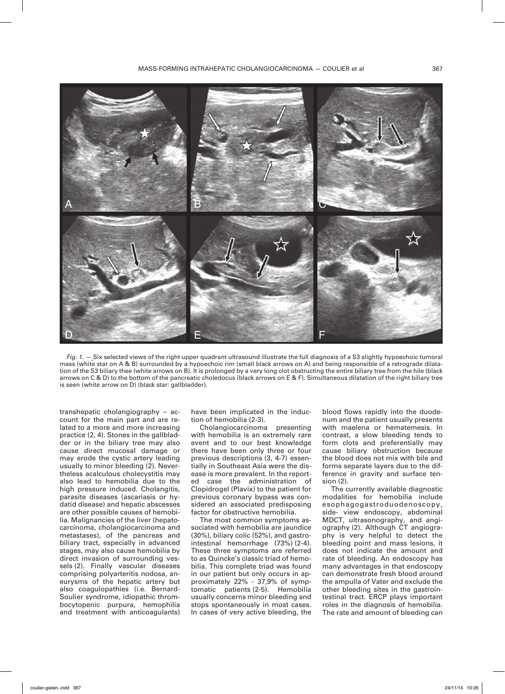

*Fig. 1. —* Six selected views of the right upper quadrant ultrasound illustrate the full diagnosis of a S3 slightly hypoechoic tumoral mass (white star on A & B) surrounded by a hypoechoic rim (small black arrows on A) and being responsible of a retrograde dilatation of the S3 biliary thee (white arrows on B). It is prolonged by a very long clot obstructing the entire biliary tree from the hile (black arrows on C & D) to the bottom of the pancreatic choledocus (black arrows on E & F). Simultaneous dilatation of the right biliary tree is seen (white arrow on D) (black star: gallbladder).

transhepatic cholangiography – account for the main part and are related to a more and more increasing practice (2, 4). Stones in the gallbladder or in the biliary tree may also cause direct mucosal damage or may erode the cystic artery leading usually to minor bleeding (2). Nevertheless acalculous cholecystitis may also lead to hemobilia due to the high pressure induced. Cholangitis, parasite diseases (ascariasis or hydatid disease) and hepatic abscesses are other possible causes of hemobilia. Malignancies of the liver (hepatocarcinoma, cholangiocarcinoma and metastases), of the pancreas and biliary tract, especially in advanced stages, may also cause hemobilia by direct invasion of surrounding vessels (2). Finally vascular diseases comprising polyarteritis nodosa, aneurysms of the hepatic artery but also coagulopathies (i.e. Bernard-Soulier syndrome, idiopathic thrombocytopenic purpura, hemophilia and treatment with anticoagulants)

have been implicated in the induction of hemobilia (2-3).

Cholangiocarcinoma presenting with hemobilia is an extremely rare event and to our best knowledge there have been only three or four previous descriptions (3, 4-7) essentially in Southeast Asia were the disease is more prevalent. In the reported case the administration of Clopidrogel (Plavix) to the patient for previous coronary bypass was considered an associated predisposing factor for obstructive hemobilia.

The most common symptoms associated with hemobilia are jaundice (30%), biliary colic (52%), and gastrointestinal hemorrhage (73%) (2-4). These three symptoms are referred to as Quincke's classic triad of hemobilia. This complete triad was found in our patient but only occurs in approximately 22% - 37,9% of symptomatic patients (2-5). Hemobilia usually concerns minor bleeding and stops spontaneously in most cases. In cases of very active bleeding, the blood flows rapidly into the duodenum and the patient usually presents with maelena or hematemesis. In contrast, a slow bleeding tends to form clots and preferentially may cause biliary obstruction because the blood does not mix with bile and forms separate layers due to the difference in gravity and surface tension (2).

The currently available diagnostic modalities for hemobilia include esophagogastroduodenoscopy, side- view endoscopy, abdominal MDCT, ultrasonography, and angiography (2). Although CT angiography is very helpful to detect the bleeding point and mass lesions, it does not indicate the amount and rate of bleeding. An endoscopy has many advantages in that endoscopy can demonstrate fresh blood around the ampulla of Vater and exclude the other bleeding sites in the gastrointestinal tract. ERCP plays important roles in the diagnosis of hemobilia. The rate and amount of bleeding can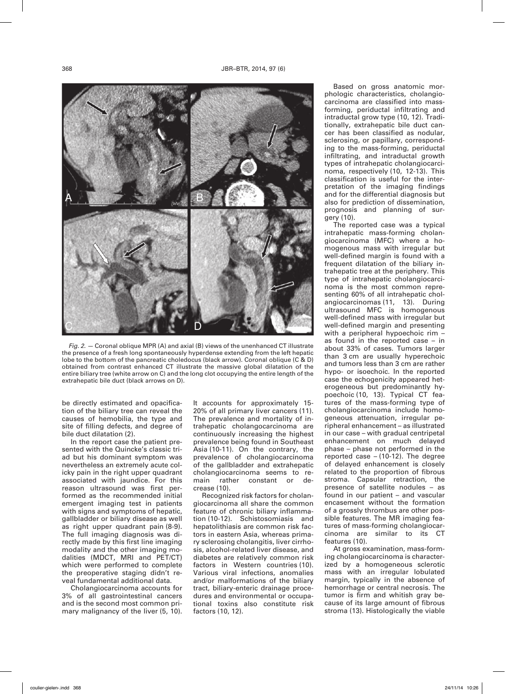

*Fig. 2. —* Coronal oblique MPR (A) and axial (B) views of the unenhanced CT illustrate the presence of a fresh long spontaneously hyperdense extending from the left hepatic lobe to the bottom of the pancreatic choledocus (black arrow). Coronal oblique (C & D) obtained from contrast enhanced CT illustrate the massive global dilatation of the entire biliary tree (white arrow on C) and the long clot occupying the entire length of the extrahepatic bile duct (black arrows on D).

be directly estimated and opacification of the biliary tree can reveal the causes of hemobilia, the type and site of filling defects, and degree of bile duct dilatation (2).

In the report case the patient presented with the Quincke's classic triad but his dominant symptom was nevertheless an extremely acute colicky pain in the right upper quadrant associated with jaundice. For this reason ultrasound was first performed as the recommended initial emergent imaging test in patients with signs and symptoms of hepatic, gallbladder or biliary disease as well as right upper quadrant pain (8-9). The full imaging diagnosis was directly made by this first line imaging modality and the other imaging modalities (MDCT, MRI and PET/CT) which were performed to complete the preoperative staging didn't reveal fundamental additional data.

Cholangiocarcinoma accounts for 3% of all gastrointestinal cancers and is the second most common primary malignancy of the liver (5, 10).

It accounts for approximately 15- 20% of all primary liver cancers (11). The prevalence and mortality of intrahepatic cholangocarcinoma are continuously increasing the highest prevalence being found in Southeast Asia (10-11). On the contrary, the prevalence of cholangiocarcinoma of the gallbladder and extrahepatic cholangiocarcinoma seems to remain rather constant or decrease (10).

Recognized risk factors for cholangiocarcinoma all share the common feature of chronic biliary inflammation (10-12). Schistosomiasis and hepatolithiasis are common risk factors in eastern Asia, whereas primary sclerosing cholangitis, liver cirrhosis, alcohol-related liver disease, and diabetes are relatively common risk factors in Western countries (10). Various viral infections, anomalies and/or malformations of the biliary tract, biliary-enteric drainage procedures and environmental or occupational toxins also constitute risk factors (10, 12).

Based on gross anatomic morphologic characteristics, cholangiocarcinoma are classified into massforming, periductal infiltrating and intraductal grow type (10, 12). Traditionally, extrahepatic bile duct cancer has been classified as nodular, sclerosing, or papillary, corresponding to the mass-forming, periductal infiltrating, and intraductal growth types of intrahepatic cholangiocarcinoma, respectively (10, 12-13). This classification is useful for the interpretation of the imaging findings and for the differential diagnosis but also for prediction of dissemination, prognosis and planning of surgery (10).

The reported case was a typical intrahepatic mass-forming cholangiocarcinoma (MFC) where a homogenous mass with irregular but well-defined margin is found with a frequent dilatation of the biliary intrahepatic tree at the periphery. This type of intrahepatic cholangiocarcinoma is the most common representing 60% of all intrahepatic cholangiocarcinomas (11, 13). During ultrasound MFC is homogenous well-defined mass with irregular but well-defined margin and presenting with a peripheral hypoechoic rim – as found in the reported case – in about 33% of cases. Tumors larger than 3 cm are usually hyperechoic and tumors less than 3 cm are rather hypo- or isoechoic. In the reported case the echogenicity appeared heterogeneous but predominantly hypoechoic (10, 13). Typical CT features of the mass-forming type of cholangiocarcinoma include homogeneous attenuation, irregular peripheral enhancement – as illustrated in our case – with gradual centripetal enhancement on much delayed phase – phase not performed in the reported case  $-$  (10-12). The degree of delayed enhancement is closely related to the proportion of fibrous stroma. Capsular retraction, the presence of satellite nodules – as found in our patient – and vascular encasement without the formation of a grossly thrombus are other possible features. The MR imaging features of mass-forming cholangiocarcinoma are similar to its CT features (10).

At gross examination, mass-forming cholangiocarcinoma is characterized by a homogeneous sclerotic mass with an irregular lobulated margin, typically in the absence of hemorrhage or central necrosis. The tumor is firm and whitish gray because of its large amount of fibrous stroma (13). Histologically the viable